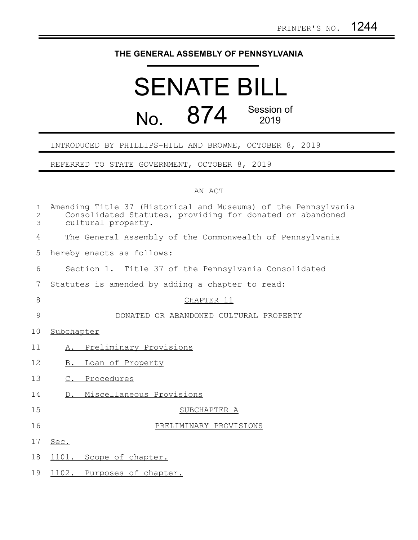## **THE GENERAL ASSEMBLY OF PENNSYLVANIA**

## SENATE BILL No. 874 Session of 2019

## INTRODUCED BY PHILLIPS-HILL AND BROWNE, OCTOBER 8, 2019

REFERRED TO STATE GOVERNMENT, OCTOBER 8, 2019

## AN ACT

| $\mathbf{1}$<br>$\overline{c}$<br>3 | Amending Title 37 (Historical and Museums) of the Pennsylvania<br>Consolidated Statutes, providing for donated or abandoned<br>cultural property. |
|-------------------------------------|---------------------------------------------------------------------------------------------------------------------------------------------------|
| $\overline{4}$                      | The General Assembly of the Commonwealth of Pennsylvania                                                                                          |
| 5                                   | hereby enacts as follows:                                                                                                                         |
| 6                                   | Section 1. Title 37 of the Pennsylvania Consolidated                                                                                              |
| 7                                   | Statutes is amended by adding a chapter to read:                                                                                                  |
| 8                                   | CHAPTER 11                                                                                                                                        |
| 9                                   | DONATED OR ABANDONED CULTURAL PROPERTY                                                                                                            |
| 10                                  | Subchapter                                                                                                                                        |
| 11                                  | Preliminary Provisions<br>Α.                                                                                                                      |
| 12                                  | Loan of Property<br>B.                                                                                                                            |
| 13                                  | C. Procedures                                                                                                                                     |
| 14                                  | D. Miscellaneous Provisions                                                                                                                       |
| 15                                  | SUBCHAPTER A                                                                                                                                      |
| 16                                  | PRELIMINARY PROVISIONS                                                                                                                            |
| 17                                  | Sec.                                                                                                                                              |
| 18                                  | 1101. Scope of chapter.                                                                                                                           |
| 19                                  | 1102. Purposes of chapter.                                                                                                                        |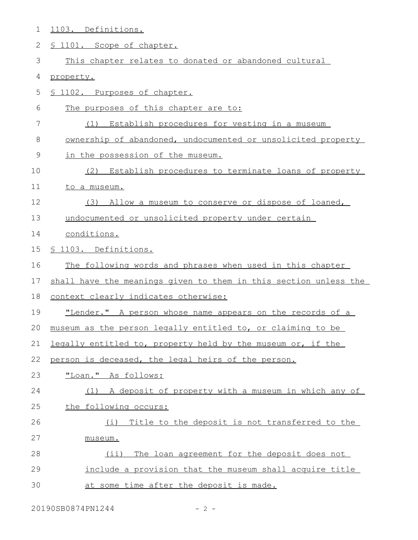| 1  | 1103. Definitions.                                               |
|----|------------------------------------------------------------------|
| 2  | § 1101. Scope of chapter.                                        |
| 3  | This chapter relates to donated or abandoned cultural            |
| 4  | property.                                                        |
| 5  | § 1102. Purposes of chapter.                                     |
| 6  | The purposes of this chapter are to:                             |
| 7  | (1) Establish procedures for vesting in a museum                 |
| 8  | ownership of abandoned, undocumented or unsolicited property     |
| 9  | in the possession of the museum.                                 |
| 10 | (2) Establish procedures to terminate loans of property          |
| 11 | to a museum.                                                     |
| 12 | (3) Allow a museum to conserve or dispose of loaned,             |
| 13 | undocumented or unsolicited property under certain               |
| 14 | conditions.                                                      |
| 15 | § 1103. Definitions.                                             |
| 16 | The following words and phrases when used in this chapter        |
| 17 | shall have the meanings given to them in this section unless the |
| 18 | context clearly indicates otherwise:                             |
| 19 | "Lender." A person whose name appears on the records of a        |
| 20 | museum as the person legally entitled to, or claiming to be      |
| 21 | legally entitled to, property held by the museum or, if the      |
| 22 | person is deceased, the legal heirs of the person.               |
| 23 | "Loan." As follows:                                              |
| 24 | (1) A deposit of property with a museum in which any of          |
| 25 | the following occurs:                                            |
| 26 | Title to the deposit is not transferred to the<br>(i)            |
| 27 | museum.                                                          |
| 28 | The loan agreement for the deposit does not<br>$(i$ i)           |
| 29 | include a provision that the museum shall acquire title          |
| 30 | at some time after the deposit is made.                          |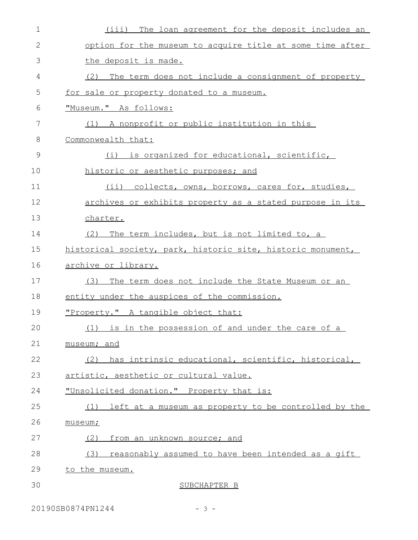| $\mathbf 1$  | (iii) The loan agreement for the deposit includes an        |
|--------------|-------------------------------------------------------------|
| $\mathbf{2}$ | option for the museum to acquire title at some time after   |
| 3            | the deposit is made.                                        |
| 4            | (2) The term does not include a consignment of property     |
| 5            | for sale or property donated to a museum.                   |
| 6            | "Museum." As follows:                                       |
| 7            | (1) A nonprofit or public institution in this               |
| 8            | Commonwealth that:                                          |
| 9            | (i) is organized for educational, scientific,               |
| 10           | historic or aesthetic purposes; and                         |
| 11           | (ii) collects, owns, borrows, cares for, studies,           |
| 12           | archives or exhibits property as a stated purpose in its    |
| 13           | charter.                                                    |
| 14           | (2) The term includes, but is not limited to, a             |
| 15           | historical society, park, historic site, historic monument, |
| 16           | <u>archive or library.</u>                                  |
| 17           | (3) The term does not include the State Museum or an        |
| 18           | entity under the auspices of the commission.                |
| 19           | "Property." A tangible object that:                         |
| 20           | (1) is in the possession of and under the care of a         |
| 21           | museum; and                                                 |
| 22           | (2) has intrinsic educational, scientific, historical,      |
| 23           | artistic, aesthetic or cultural value.                      |
| 24           | "Unsolicited donation." Property that is:                   |
| 25           | left at a museum as property to be controlled by the<br>(1) |
| 26           | museum;                                                     |
| 27           | (2)<br>from an unknown source; and                          |
| 28           | (3)<br>reasonably assumed to have been intended as a gift   |
| 29           | to the museum.                                              |
| 30           | SUBCHAPTER B                                                |
|              |                                                             |

20190SB0874PN1244 - 3 -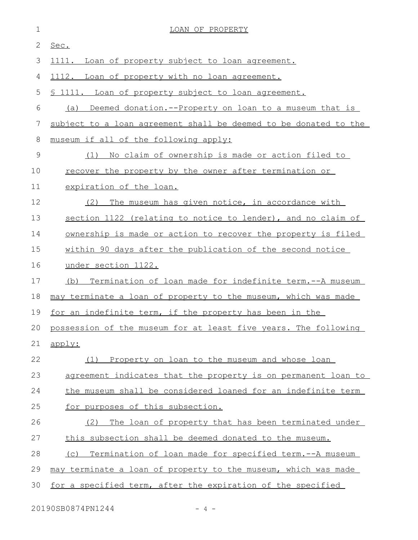| $\mathbf 1$ | LOAN OF PROPERTY                                                    |
|-------------|---------------------------------------------------------------------|
| 2           | Sec.                                                                |
| 3           | 1111. Loan of property subject to loan agreement.                   |
| 4           | 1112. Loan of property with no loan agreement.                      |
| 5           | \$ 1111. Loan of property subject to loan agreement.                |
| 6           | (a)<br>Deemed donation.--Property on loan to a museum that is       |
| 7           | subject to a loan agreement shall be deemed to be donated to the    |
| 8           | museum if all of the following apply:                               |
| 9           | No claim of ownership is made or action filed to<br>(1)             |
| 10          | <u>recover the property by the owner after termination or</u>       |
| 11          | expiration of the loan.                                             |
| 12          | The museum has given notice, in accordance with<br>(2)              |
| 13          | section 1122 (relating to notice to lender), and no claim of        |
| 14          | <u>ownership is made or action to recover the property is filed</u> |
| 15          | within 90 days after the publication of the second notice           |
| 16          | under section 1122.                                                 |
| 17          | (b) Termination of loan made for indefinite term.--A museum         |
| 18          | may terminate a loan of property to the museum, which was made      |
| 19          | for an indefinite term, if the property has been in the             |
|             | 20 possession of the museum for at least five years. The following  |
| 21          | apply:                                                              |
| 22          | (1) Property on loan to the museum and whose loan                   |
| 23          | agreement indicates that the property is on permanent loan to       |
| 24          | the museum shall be considered loaned for an indefinite term        |
| 25          | for purposes of this subsection.                                    |
| 26          | The loan of property that has been terminated under<br>(2)          |
| 27          | this subsection shall be deemed donated to the museum.              |
| 28          | Termination of loan made for specified term.--A museum<br>(C)       |
| 29          | may terminate a loan of property to the museum, which was made      |
| 30          | for a specified term, after the expiration of the specified         |

20190SB0874PN1244 - 4 -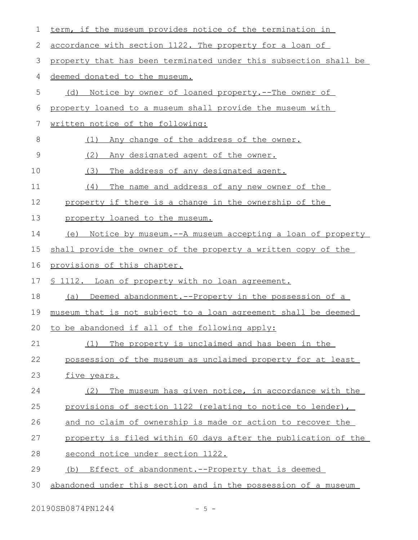| 1  | term, if the museum provides notice of the termination in        |
|----|------------------------------------------------------------------|
| 2  | accordance with section 1122. The property for a loan of         |
| 3  | property that has been terminated under this subsection shall be |
| 4  | deemed donated to the museum.                                    |
| 5  | Notice by owner of loaned property.--The owner of<br>(d)         |
| 6  | property loaned to a museum shall provide the museum with        |
| 7  | written notice of the following:                                 |
| 8  | Any change of the address of the owner.<br>(1)                   |
| 9  | (2)<br>Any designated agent of the owner.                        |
| 10 | (3)<br>The address of any designated agent.                      |
| 11 | The name and address of any new owner of the<br>(4)              |
| 12 | property if there is a change in the ownership of the            |
| 13 | property loaned to the museum.                                   |
| 14 | (e) Notice by museum.--A museum accepting a loan of property     |
| 15 | shall provide the owner of the property a written copy of the    |
| 16 | provisions of this chapter.                                      |
| 17 | <u>S 1112. Loan of property with no loan agreement.</u>          |
| 18 | Deemed abandonment.--Property in the possession of a<br>(a)      |
| 19 | museum that is not subject to a loan agreement shall be deemed   |
| 20 | to be abandoned if all of the following apply:                   |
| 21 | The property is unclaimed and has been in the<br>(1)             |
| 22 | possession of the museum as unclaimed property for at least      |
| 23 | five years.                                                      |
| 24 | The museum has given notice, in accordance with the<br>(2)       |
| 25 | provisions of section 1122 (relating to notice to lender),       |
| 26 | and no claim of ownership is made or action to recover the       |
| 27 | property is filed within 60 days after the publication of the    |
| 28 | second notice under section 1122.                                |
|    |                                                                  |
| 29 | Effect of abandonment.--Property that is deemed<br>(b)           |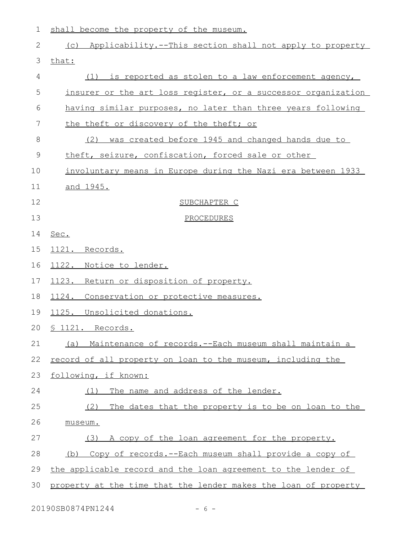1 shall become the property of the museum.

| 2  | (c) Applicability.--This section shall not apply to property    |
|----|-----------------------------------------------------------------|
| 3  | that:                                                           |
| 4  | (1) is reported as stolen to a law enforcement agency,          |
| 5  | insurer or the art loss register, or a successor organization   |
| 6  | having similar purposes, no later than three years following    |
| 7  | the theft or discovery of the theft; or                         |
| 8  | was created before 1945 and changed hands due to<br>(2)         |
| 9  | theft, seizure, confiscation, forced sale or other              |
| 10 | involuntary means in Europe during the Nazi era between 1933    |
| 11 | <u>and 1945.</u>                                                |
| 12 | SUBCHAPTER C                                                    |
| 13 | PROCEDURES                                                      |
| 14 | Sec.                                                            |
| 15 | 1121. Records.                                                  |
| 16 | 1122. Notice to lender.                                         |
| 17 | 1123. Return or disposition of property.                        |
| 18 | Conservation or protective measures.<br>1124.                   |
| 19 | 1125. Unsolicited donations.                                    |
| 20 | § 1121. Records.                                                |
| 21 | (a) Maintenance of records.--Each museum shall maintain a       |
| 22 | record of all property on loan to the museum, including the     |
| 23 | following, if known:                                            |
| 24 | The name and address of the lender.<br>(1)                      |
| 25 | (2)<br>The dates that the property is to be on loan to the      |
| 26 | museum.                                                         |
| 27 | A copy of the loan agreement for the property.<br>(3)           |
| 28 | (b) Copy of records.--Each museum shall provide a copy of       |
| 29 | the applicable record and the loan agreement to the lender of   |
| 30 | property at the time that the lender makes the loan of property |
|    |                                                                 |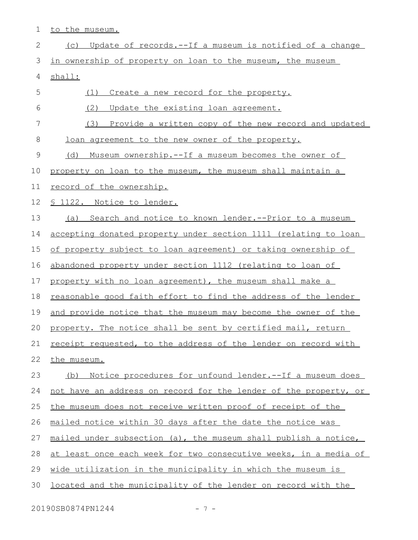1 to the museum.

| $\mathbf{2}$ | Update of records.--If a museum is notified of a change<br>(C)        |
|--------------|-----------------------------------------------------------------------|
| 3            | in ownership of property on loan to the museum, the museum            |
| 4            | shall:                                                                |
| 5            | (1)<br>Create a new record for the property.                          |
| 6            | (2)<br>Update the existing loan agreement.                            |
| 7            | (3) Provide a written copy of the new record and updated              |
| 8            | loan agreement to the new owner of the property.                      |
| 9            | <u>Museum ownership.--If a museum becomes the owner of</u><br>(d)     |
| 10           | property on loan to the museum, the museum shall maintain a           |
| 11           | record of the ownership.                                              |
| 12           | <u>S 1122. Notice to lender.</u>                                      |
| 13           | (a) Search and notice to known lender. -- Prior to a museum           |
| 14           | accepting donated property under section 1111 (relating to loan       |
| 15           | of property subject to loan agreement) or taking ownership of         |
| 16           | abandoned property under section 1112 (relating to loan of            |
| 17           | property with no loan agreement), the museum shall make a             |
| 18           | <u>reasonable good faith effort to find the address of the lender</u> |
| 19           | and provide notice that the museum may become the owner of the        |
| 20           | property. The notice shall be sent by certified mail, return          |
| 21           | receipt requested, to the address of the lender on record with        |
| 22           | the museum.                                                           |
| 23           | Notice procedures for unfound lender. -- If a museum does<br>(b)      |
| 24           | not have an address on record for the lender of the property, or      |
| 25           | the museum does not receive written proof of receipt of the           |
| 26           | mailed notice within 30 days after the date the notice was            |
| 27           | mailed under subsection (a), the museum shall publish a notice,       |
| 28           | at least once each week for two consecutive weeks, in a media of      |
| 29           | wide utilization in the municipality in which the museum is           |
| 30           | located and the municipality of the lender on record with the         |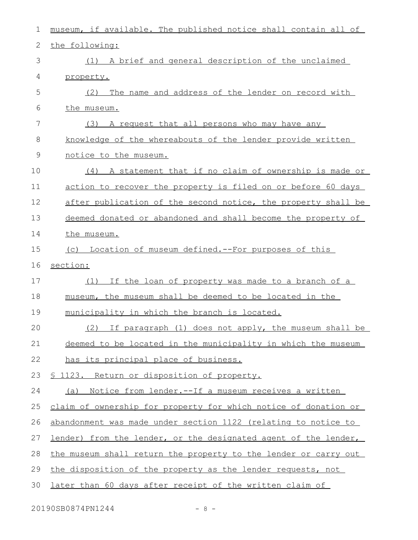| $\mathbf 1$   | museum, if available. The published notice shall contain all of        |
|---------------|------------------------------------------------------------------------|
| $\mathbf{2}$  | the following:                                                         |
| 3             | (1) A brief and general description of the unclaimed                   |
| 4             | property.                                                              |
| 5             | The name and address of the lender on record with<br>(2)               |
| 6             | the museum.                                                            |
| 7             | (3) A request that all persons who may have any                        |
| 8             | knowledge of the whereabouts of the lender provide written             |
| $\mathcal{G}$ | notice to the museum.                                                  |
| 10            | (4) A statement that if no claim of ownership is made or               |
| 11            | action to recover the property is filed on or before 60 days           |
| 12            | after publication of the second notice, the property shall be          |
| 13            | deemed donated or abandoned and shall become the property of           |
| 14            | the museum.                                                            |
| 15            | (c) Location of museum defined.--For purposes of this                  |
|               |                                                                        |
| 16            | section:                                                               |
| 17            | If the loan of property was made to a branch of a<br>(1)               |
| 18            | museum, the museum shall be deemed to be located in the                |
| 19            | municipality in which the branch is located.                           |
| 20            | $(2)$ If paragraph $(1)$ does not apply, the museum shall be           |
| 21            | deemed to be located in the municipality in which the museum           |
| 22            | has its principal place of business.                                   |
| 23            | <u>S 1123. Return or disposition of property.</u>                      |
| 24            | (a) Notice from lender.--If a museum receives a written                |
| 25            | claim of ownership for property for which notice of donation or        |
| 26            | abandonment was made under section 1122 (relating to notice to         |
| 27            | <u>lender) from the lender, or the designated agent of the lender,</u> |
| 28            | the museum shall return the property to the lender or carry out        |
| 29            | the disposition of the property as the lender requests, not            |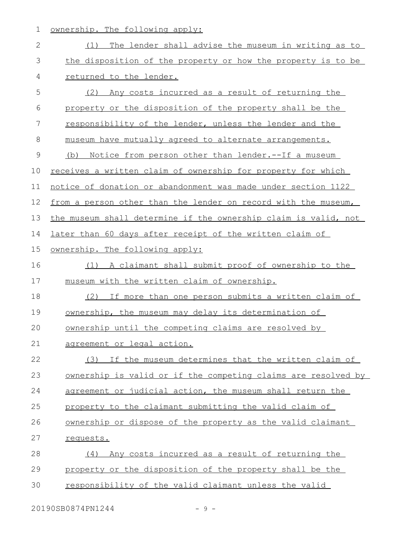1 ownership. The following apply:

| $\mathbf{2}$ | The lender shall advise the museum in writing as to<br>(1)      |
|--------------|-----------------------------------------------------------------|
| 3            | the disposition of the property or how the property is to be    |
| 4            | returned to the lender.                                         |
| 5            | (2) Any costs incurred as a result of returning the             |
| 6            | property or the disposition of the property shall be the        |
| 7            | responsibility of the lender, unless the lender and the         |
| 8            | museum have mutually agreed to alternate arrangements.          |
| $\mathsf 9$  | (b) Notice from person other than lender.--If a museum          |
| 10           | receives a written claim of ownership for property for which    |
| 11           | notice of donation or abandonment was made under section 1122   |
| 12           | from a person other than the lender on record with the museum,  |
| 13           | the museum shall determine if the ownership claim is valid, not |
| 14           | later than 60 days after receipt of the written claim of        |
| 15           | ownership. The following apply:                                 |
| 16           | A claimant shall submit proof of ownership to the<br>(1)        |
| 17           | museum with the written claim of ownership.                     |
| 18           | (2) If more than one person submits a written claim of          |
| 19           | ownership, the museum may delay its determination of            |
| 20           | ownership until the competing claims are resolved by            |
| 21           | agreement or legal action.                                      |
| 22           | (3) If the museum determines that the written claim of          |
| 23           | ownership is valid or if the competing claims are resolved by   |
| 24           | agreement or judicial action, the museum shall return the       |
| 25           | property to the claimant submitting the valid claim of          |
| 26           | ownership or dispose of the property as the valid claimant      |
| 27           | requests.                                                       |
| 28           | Any costs incurred as a result of returning the<br>(4)          |
| 29           | property or the disposition of the property shall be the        |
| 30           | responsibility of the valid claimant unless the valid           |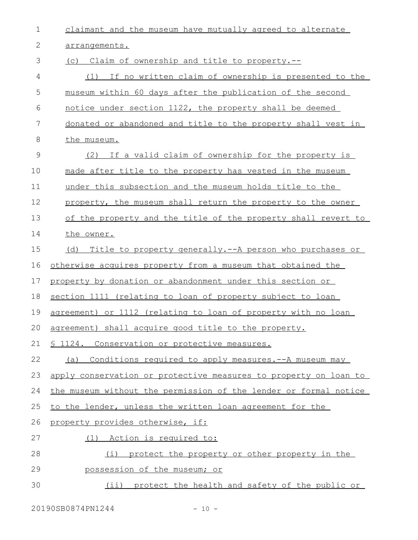| $\mathbf 1$ | claimant and the museum have mutually agreed to alternate        |
|-------------|------------------------------------------------------------------|
| 2           | arrangements.                                                    |
| 3           | (c) Claim of ownership and title to property.--                  |
| 4           | (1) If no written claim of ownership is presented to the         |
| 5           | museum within 60 days after the publication of the second        |
| 6           | notice under section 1122, the property shall be deemed          |
| 7           | donated or abandoned and title to the property shall vest in     |
| 8           | the museum.                                                      |
| 9           | (2) If a valid claim of ownership for the property is            |
| 10          | made after title to the property has vested in the museum        |
| 11          | under this subsection and the museum holds title to the          |
| 12          | property, the museum shall return the property to the owner      |
| 13          | of the property and the title of the property shall revert to    |
| 14          | the owner.                                                       |
| 15          | Title to property generally.--A person who purchases or<br>(d)   |
| 16          | otherwise acquires property from a museum that obtained the      |
| 17          | property by donation or abandonment under this section or        |
| 18          | section 1111 (relating to loan of property subject to loan       |
| 19          | agreement) or 1112 (relating to loan of property with no loan    |
|             | 20 agreement) shall acquire good title to the property.          |
| 21          | § 1124. Conservation or protective measures.                     |
| 22          | Conditions required to apply measures. -- A museum may<br>(a)    |
| 23          | apply conservation or protective measures to property on loan to |
| 24          | the museum without the permission of the lender or formal notice |
| 25          | to the lender, unless the written loan agreement for the         |
| 26          | property provides otherwise, if:                                 |
| 27          | (1) Action is required to:                                       |
| 28          | protect the property or other property in the<br>(i)             |
| 29          | possession of the museum; or                                     |
| 30          | protect the health and safety of the public or<br>$(i$ i)        |

20190SB0874PN1244 - 10 -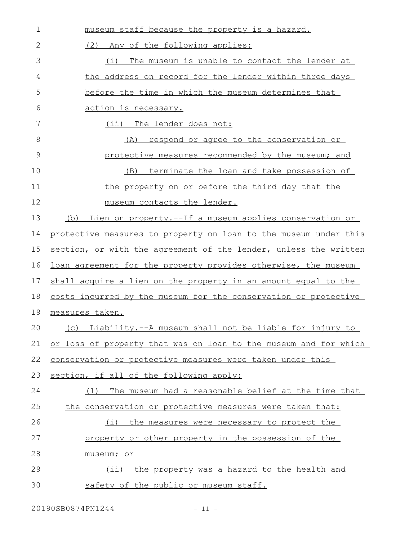| $\mathbf 1$ | museum staff because the property is a hazard.                   |
|-------------|------------------------------------------------------------------|
| 2           | (2) Any of the following applies:                                |
| 3           | The museum is unable to contact the lender at<br>(i)             |
| 4           | the address on record for the lender within three days           |
| 5           | before the time in which the museum determines that              |
| 6           | action is necessary.                                             |
| 7           | (ii) The lender does not:                                        |
| 8           | <u>respond or agree to the conservation or</u><br>(A)            |
| 9           | protective measures recommended by the museum; and               |
| 10          | terminate the loan and take possession of<br>(B)                 |
| 11          | the property on or before the third day that the                 |
| 12          | museum contacts the lender.                                      |
| 13          | Lien on property.--If a museum applies conservation or<br>(b)    |
| 14          | protective measures to property on loan to the museum under this |
| 15          | section, or with the agreement of the lender, unless the written |
| 16          | loan agreement for the property provides otherwise, the museum   |
| 17          | shall acquire a lien on the property in an amount equal to the   |
| 18          | costs incurred by the museum for the conservation or protective  |
| 19          | measures taken.                                                  |
| 20          | (c) Liability.--A museum shall not be liable for injury to       |
| 21          | or loss of property that was on loan to the museum and for which |
| 22          | conservation or protective measures were taken under this        |
| 23          | section, if all of the following apply:                          |
| 24          | The museum had a reasonable belief at the time that<br>(1)       |
| 25          | the conservation or protective measures were taken that:         |
| 26          | the measures were necessary to protect the<br>(i)                |
| 27          | property or other property in the possession of the              |
| 28          | museum; or                                                       |
| 29          | (ii) the property was a hazard to the health and                 |
| 30          | safety of the public or museum staff.                            |

20190SB0874PN1244 - 11 -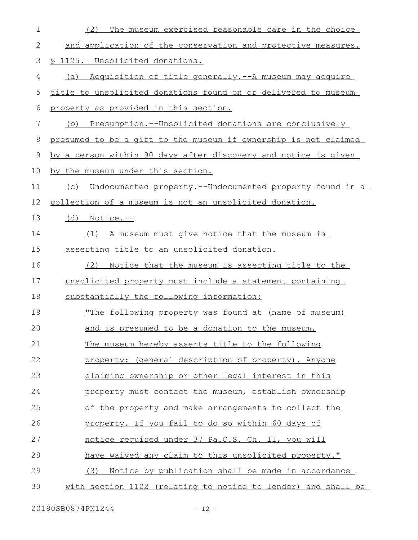| 1           | (2)<br>The museum exercised reasonable care in the choice       |
|-------------|-----------------------------------------------------------------|
| 2           | and application of the conservation and protective measures.    |
| 3           | <u>S 1125. Unsolicited donations.</u>                           |
| 4           | (a) Acquisition of title generally.--A museum may acquire       |
| 5           | title to unsolicited donations found on or delivered to museum  |
| 6           | property as provided in this section.                           |
| 7           | (b) Presumption.--Unsolicited donations are conclusively        |
| $\,8\,$     | presumed to be a gift to the museum if ownership is not claimed |
| $\mathsf 9$ | by a person within 90 days after discovery and notice is given  |
| 10          | by the museum under this section.                               |
| 11          | (c) Undocumented property.--Undocumented property found in a    |
| 12          | <u>collection of a museum is not an unsolicited donation.</u>   |
| 13          | $(d)$ Notice.--                                                 |
| 14          | A museum must give notice that the museum is<br>(1)             |
| 15          | asserting title to an unsolicited donation.                     |
| 16          | (2)<br>Notice that the museum is asserting title to the         |
| 17          | unsolicited property must include a statement containing        |
| 18          | substantially the following information:                        |
| 19          | "The following property was found at (name of museum)           |
| 20          | and is presumed to be a donation to the museum.                 |
| 21          | The museum hereby asserts title to the following                |
| 22          | property: (general description of property). Anyone             |
| 23          | claiming ownership or other legal interest in this              |
| 24          | property must contact the museum, establish ownership           |
| 25          | of the property and make arrangements to collect the            |
| 26          | property. If you fail to do so within 60 days of                |
| 27          | notice required under 37 Pa.C.S. Ch. 11, you will               |
| 28          | have waived any claim to this unsolicited property."            |
| 29          | Notice by publication shall be made in accordance<br>(3)        |
| 30          | with section 1122 (relating to notice to lender) and shall be   |

20190SB0874PN1244 - 12 -